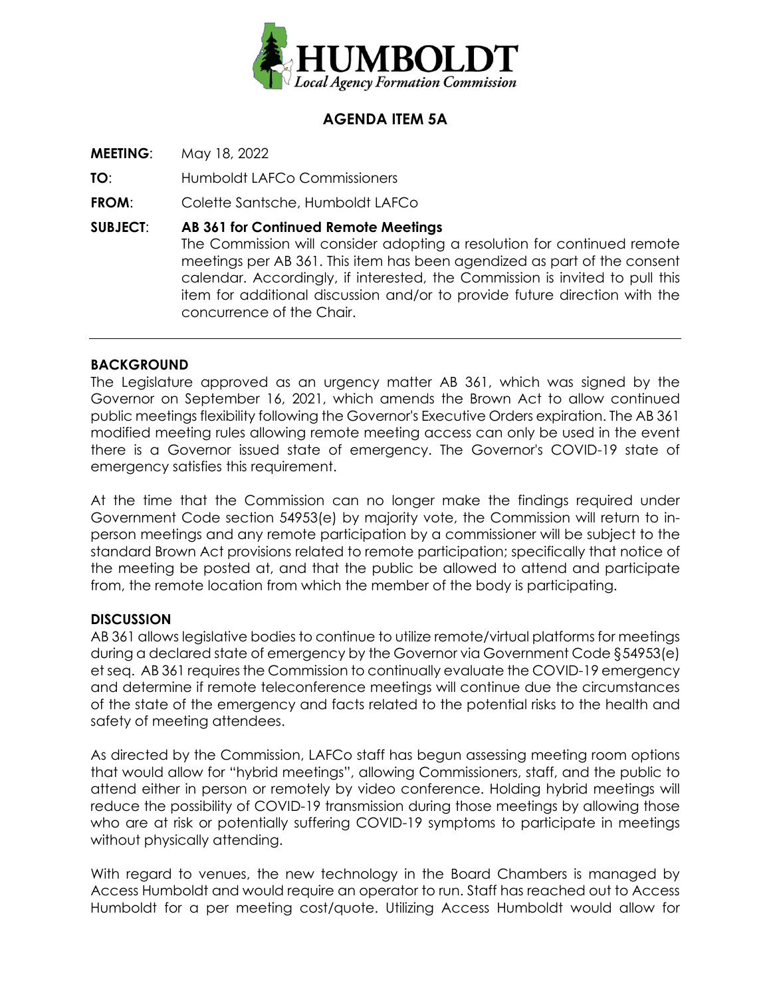

# **AGENDA ITEM 5A**

**MEETING**: May 18, 2022

**TO**: Humboldt LAFCo Commissioners

**FROM**: Colette Santsche, Humboldt LAFCo

**SUBJECT**: **AB 361 for Continued Remote Meetings** The Commission will consider adopting a resolution for continued remote meetings per AB 361. This item has been agendized as part of the consent calendar. Accordingly, if interested, the Commission is invited to pull this item for additional discussion and/or to provide future direction with the concurrence of the Chair.

### **BACKGROUND**

The Legislature approved as an urgency matter AB 361, which was signed by the Governor on September 16, 2021, which amends the Brown Act to allow continued public meetings flexibility following the Governor's Executive Orders expiration. The AB 361 modified meeting rules allowing remote meeting access can only be used in the event there is a Governor issued state of emergency. The Governor's COVID-19 state of emergency satisfies this requirement.

At the time that the Commission can no longer make the findings required under Government Code section 54953(e) by majority vote, the Commission will return to inperson meetings and any remote participation by a commissioner will be subject to the standard Brown Act provisions related to remote participation; specifically that notice of the meeting be posted at, and that the public be allowed to attend and participate from, the remote location from which the member of the body is participating.

#### **DISCUSSION**

AB 361 allows legislative bodies to continue to utilize remote/virtual platforms for meetings during a declared state of emergency by the Governor via Government Code §54953(e) et seq. AB 361 requires the Commission to continually evaluate the COVID-19 emergency and determine if remote teleconference meetings will continue due the circumstances of the state of the emergency and facts related to the potential risks to the health and safety of meeting attendees.

As directed by the Commission, LAFCo staff has begun assessing meeting room options that would allow for "hybrid meetings", allowing Commissioners, staff, and the public to attend either in person or remotely by video conference. Holding hybrid meetings will reduce the possibility of COVID-19 transmission during those meetings by allowing those who are at risk or potentially suffering COVID-19 symptoms to participate in meetings without physically attending.

With regard to venues, the new technology in the Board Chambers is managed by Access Humboldt and would require an operator to run. Staff has reached out to Access Humboldt for a per meeting cost/quote. Utilizing Access Humboldt would allow for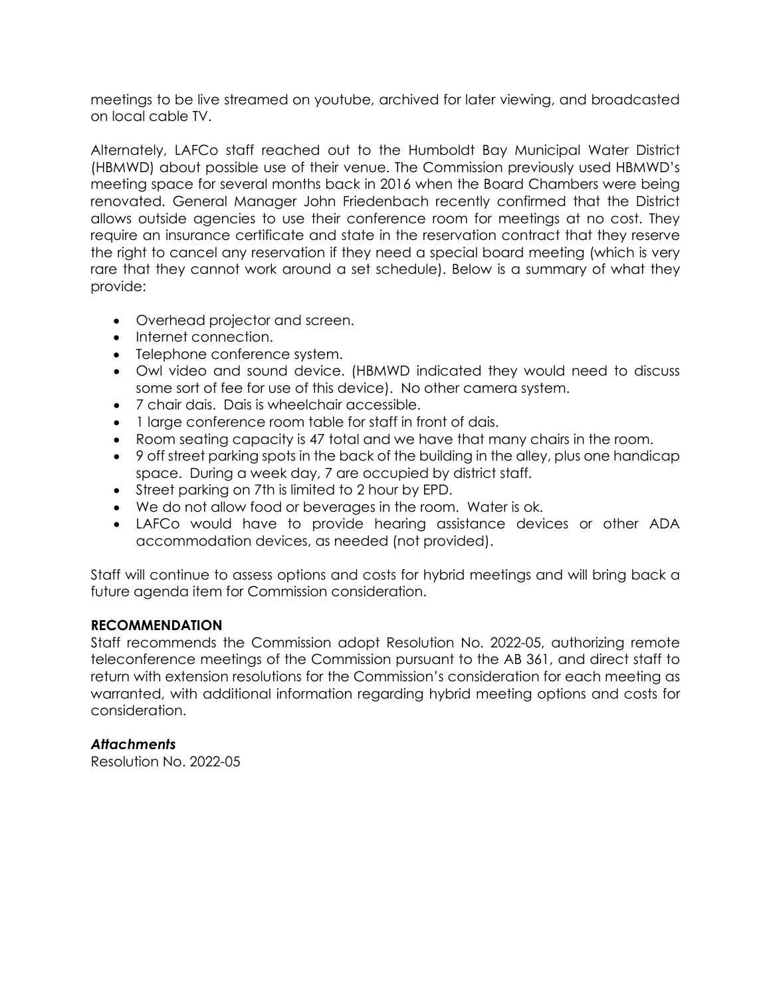meetings to be live streamed on youtube, archived for later viewing, and broadcasted on local cable TV.

Alternately, LAFCo staff reached out to the Humboldt Bay Municipal Water District (HBMWD) about possible use of their venue. The Commission previously used HBMWD's meeting space for several months back in 2016 when the Board Chambers were being renovated. General Manager John Friedenbach recently confirmed that the District allows outside agencies to use their conference room for meetings at no cost. They require an insurance certificate and state in the reservation contract that they reserve the right to cancel any reservation if they need a special board meeting (which is very rare that they cannot work around a set schedule). Below is a summary of what they provide:

- Overhead projector and screen.
- Internet connection.
- Telephone conference system.
- Owl video and sound device. (HBMWD indicated they would need to discuss some sort of fee for use of this device). No other camera system.
- 7 chair dais. Dais is wheelchair accessible.
- 1 large conference room table for staff in front of dais.
- Room seating capacity is 47 total and we have that many chairs in the room.
- 9 off street parking spots in the back of the building in the alley, plus one handicap space. During a week day, 7 are occupied by district staff.
- Street parking on 7th is limited to 2 hour by EPD.
- We do not allow food or beverages in the room. Water is ok.
- LAFCo would have to provide hearing assistance devices or other ADA accommodation devices, as needed (not provided).

Staff will continue to assess options and costs for hybrid meetings and will bring back a future agenda item for Commission consideration.

#### **RECOMMENDATION**

Staff recommends the Commission adopt Resolution No. 2022-05, authorizing remote teleconference meetings of the Commission pursuant to the AB 361, and direct staff to return with extension resolutions for the Commission's consideration for each meeting as warranted, with additional information regarding hybrid meeting options and costs for consideration.

#### *Attachments*

Resolution No. 2022-05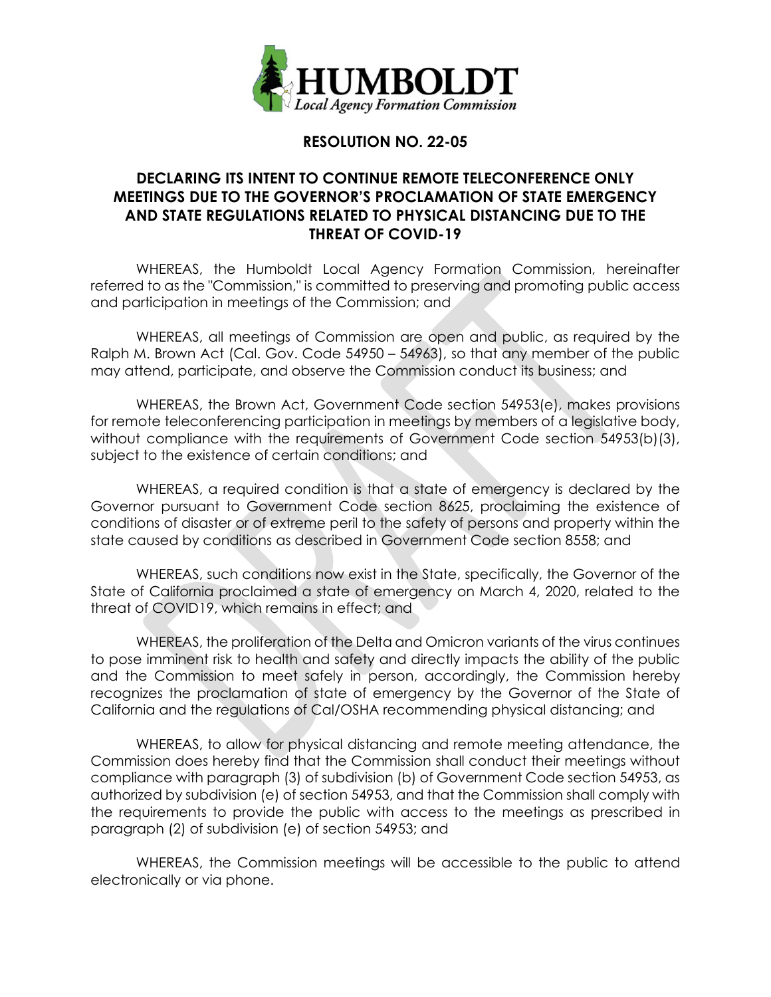

## **RESOLUTION NO. 22-05**

### **DECLARING ITS INTENT TO CONTINUE REMOTE TELECONFERENCE ONLY MEETINGS DUE TO THE GOVERNOR'S PROCLAMATION OF STATE EMERGENCY AND STATE REGULATIONS RELATED TO PHYSICAL DISTANCING DUE TO THE THREAT OF COVID-19**

WHEREAS, the Humboldt Local Agency Formation Commission, hereinafter referred to as the "Commission," is committed to preserving and promoting public access and participation in meetings of the Commission; and

WHEREAS, all meetings of Commission are open and public, as required by the Ralph M. Brown Act (Cal. Gov. Code 54950 – 54963), so that any member of the public may attend, participate, and observe the Commission conduct its business; and

WHEREAS, the Brown Act, Government Code section 54953(e), makes provisions for remote teleconferencing participation in meetings by members of a legislative body, without compliance with the requirements of Government Code section 54953(b)(3), subject to the existence of certain conditions; and

WHEREAS, a required condition is that a state of emergency is declared by the Governor pursuant to Government Code section 8625, proclaiming the existence of conditions of disaster or of extreme peril to the safety of persons and property within the state caused by conditions as described in Government Code section 8558; and

WHEREAS, such conditions now exist in the State, specifically, the Governor of the State of California proclaimed a state of emergency on March 4, 2020, related to the threat of COVID19, which remains in effect; and

WHEREAS, the proliferation of the Delta and Omicron variants of the virus continues to pose imminent risk to health and safety and directly impacts the ability of the public and the Commission to meet safely in person, accordingly, the Commission hereby recognizes the proclamation of state of emergency by the Governor of the State of California and the regulations of Cal/OSHA recommending physical distancing; and

WHEREAS, to allow for physical distancing and remote meeting attendance, the Commission does hereby find that the Commission shall conduct their meetings without compliance with paragraph (3) of subdivision (b) of Government Code section 54953, as authorized by subdivision (e) of section 54953, and that the Commission shall comply with the requirements to provide the public with access to the meetings as prescribed in paragraph (2) of subdivision (e) of section 54953; and

WHEREAS, the Commission meetings will be accessible to the public to attend electronically or via phone.